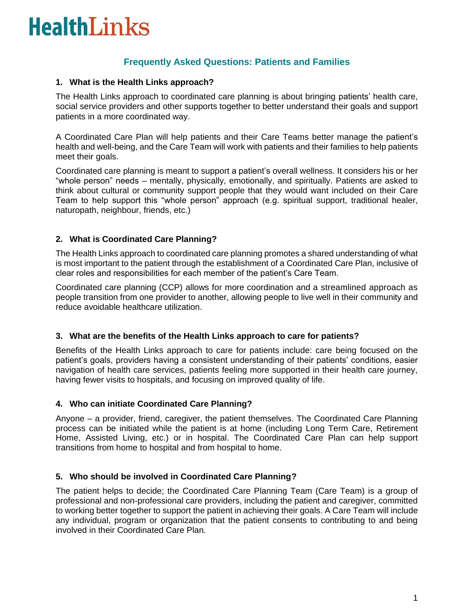# **HealthLinks**

## **Frequently Asked Questions: Patients and Families**

#### **1. What is the Health Links approach?**

The Health Links approach to coordinated care planning is about bringing patients' health care, social service providers and other supports together to better understand their goals and support patients in a more coordinated way.

A Coordinated Care Plan will help patients and their Care Teams better manage the patient's health and well-being, and the Care Team will work with patients and their families to help patients meet their goals.

Coordinated care planning is meant to support a patient's overall wellness. It considers his or her "whole person" needs – mentally, physically, emotionally, and spiritually. Patients are asked to think about cultural or community support people that they would want included on their Care Team to help support this "whole person" approach (e.g. spiritual support, traditional healer, naturopath, neighbour, friends, etc.)

#### **2. What is Coordinated Care Planning?**

The Health Links approach to coordinated care planning promotes a shared understanding of what is most important to the patient through the establishment of a Coordinated Care Plan, inclusive of clear roles and responsibilities for each member of the patient's Care Team.

Coordinated care planning (CCP) allows for more coordination and a streamlined approach as people transition from one provider to another, allowing people to live well in their community and reduce avoidable healthcare utilization.

#### **3. What are the benefits of the Health Links approach to care for patients?**

Benefits of the Health Links approach to care for patients include: care being focused on the patient's goals, providers having a consistent understanding of their patients' conditions, easier navigation of health care services, patients feeling more supported in their health care journey, having fewer visits to hospitals, and focusing on improved quality of life.

#### **4. Who can initiate Coordinated Care Planning?**

Anyone – a provider, friend, caregiver, the patient themselves. The Coordinated Care Planning process can be initiated while the patient is at home (including Long Term Care, Retirement Home, Assisted Living, etc.) or in hospital. The Coordinated Care Plan can help support transitions from home to hospital and from hospital to home.

### **5. Who should be involved in Coordinated Care Planning?**

The patient helps to decide; the Coordinated Care Planning Team (Care Team) is a group of professional and non-professional care providers, including the patient and caregiver, committed to working better together to support the patient in achieving their goals. A Care Team will include any individual, program or organization that the patient consents to contributing to and being involved in their Coordinated Care Plan.